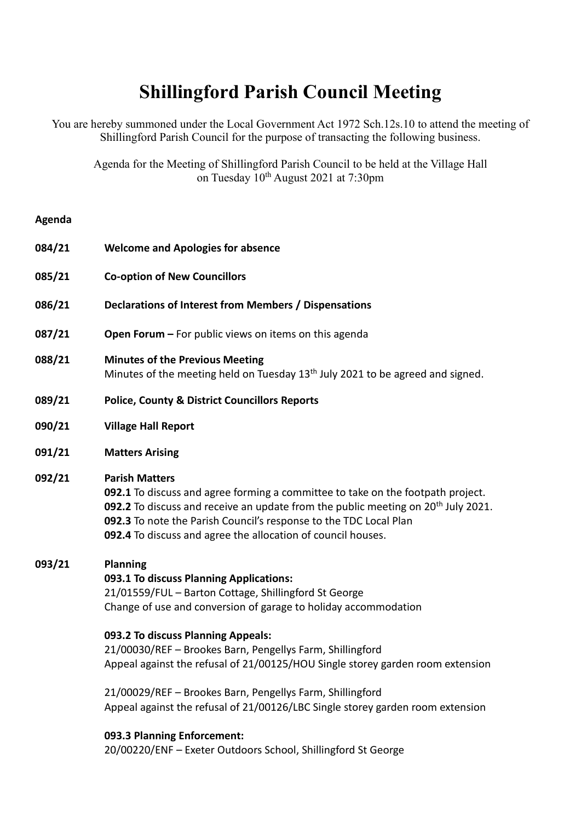# **Shillingford Parish Council Meeting**

You are hereby summoned under the Local Government Act 1972 Sch.12s.10 to attend the meeting of Shillingford Parish Council for the purpose of transacting the following business.

Agenda for the Meeting of Shillingford Parish Council to be held at the Village Hall on Tuesday 10<sup>th</sup> August 2021 at 7:30pm

# **Agenda**

- **084/21 Welcome and Apologies for absence**
- **085/21 Co-option of New Councillors**
- **086/21 Declarations of Interest from Members / Dispensations**
- **087/21 Open Forum –** For public views on items on this agenda
- **088/21 Minutes of the Previous Meeting** Minutes of the meeting held on Tuesday  $13<sup>th</sup>$  July 2021 to be agreed and signed.
- **089/21 Police, County & District Councillors Reports**
- **090/21 Village Hall Report**
- **091/21 Matters Arising**

# **092/21 Parish Matters**

**092.1** To discuss and agree forming a committee to take on the footpath project. **092.2** To discuss and receive an update from the public meeting on 20<sup>th</sup> July 2021. **092.3** To note the Parish Council's response to the TDC Local Plan **092.4** To discuss and agree the allocation of council houses.

# **093/21 Planning**

#### **093.1 To discuss Planning Applications:**

21/01559/FUL – Barton Cottage, Shillingford St George Change of use and conversion of garage to holiday accommodation

## **093.2 To discuss Planning Appeals:**

21/00030/REF – Brookes Barn, Pengellys Farm, Shillingford Appeal against the refusal of 21/00125/HOU Single storey garden room extension

21/00029/REF – Brookes Barn, Pengellys Farm, Shillingford Appeal against the refusal of 21/00126/LBC Single storey garden room extension

# **093.3 Planning Enforcement:**

20/00220/ENF – Exeter Outdoors School, Shillingford St George